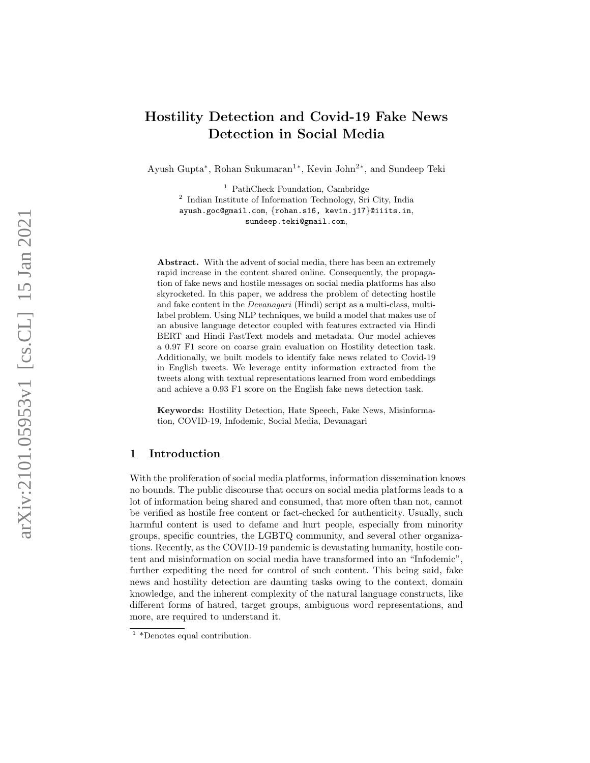# Hostility Detection and Covid-19 Fake News Detection in Social Media

Ayush Gupta ∗ , Rohan Sukumaran 1 ∗ , Kevin John 2 ∗ , and Sundeep Teki

<sup>1</sup> PathCheck Foundation, Cambridge <sup>2</sup> Indian Institute of Information Technology, Sri City, India ayush.goc@gmail.com , {rohan.s16, kevin.j17 }@iiits.in , sundeep.teki@gmail.com ,

Abstract. With the advent of social media, there has been an extremely rapid increase in the content shared online. Consequently, the propagation of fake news and hostile messages on social media platforms has also skyrocketed. In this paper, we address the problem of detecting hostile and fake content in the Devanagari (Hindi) script as a multi-class, multilabel problem. Using NLP techniques, we build a model that makes use of an abusive language detector coupled with features extracted via Hindi BERT and Hindi FastText models and metadata. Our model achieves a 0.97 F1 score on coarse grain evaluation on Hostility detection task. Additionally, we built models to identify fake news related to Covid-19 in English tweets. We leverage entity information extracted from the tweets along with textual representations learned from word embeddings and achieve a 0.93 F1 score on the English fake news detection task.

Keywords: Hostility Detection, Hate Speech, Fake News, Misinformation, COVID-19, Infodemic, Social Media, Devanagari

# 1 Introduction

With the proliferation of social media platforms, information dissemination knows no bounds. The public discourse that occurs on social media platforms leads to a lot of information being shared and consumed, that more often than not, cannot be verified as hostile free content or fact-checked for authenticity. Usually, such harmful content is used to defame and hurt people, especially from minority groups, specific countries, the LGBTQ community, and several other organizations. Recently, as the COVID-19 pandemic is devastating humanity, hostile content and misinformation on social media have transformed into an "Infodemic", further expediting the need for control of such content. This being said, fake news and hostility detection are daunting tasks owing to the context, domain knowledge, and the inherent complexity of the natural language constructs, like different forms of hatred, target groups, ambiguous word representations, and more, are required to understand it.

<sup>&</sup>lt;sup>1</sup> \*Denotes equal contribution.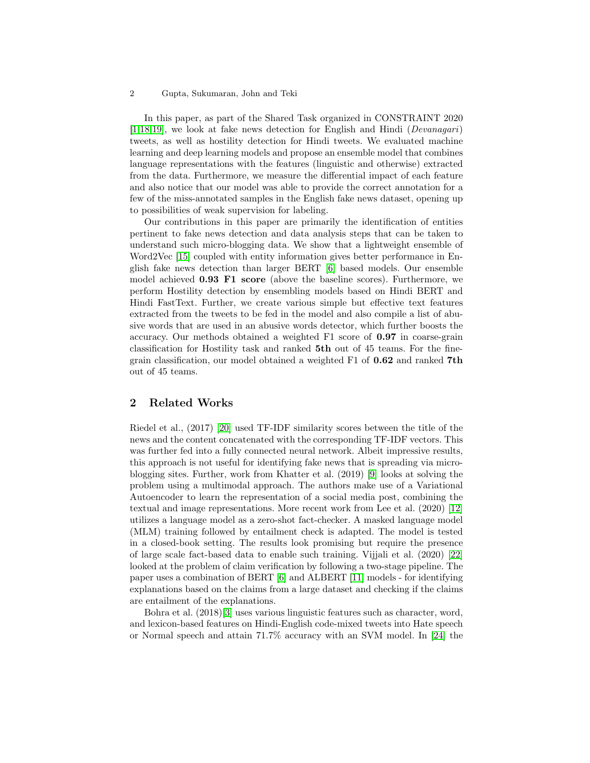In this paper, as part of the Shared Task organized in CONSTRAINT 2020 [\[1,](#page-10-0)[18](#page-11-0)[,19\]](#page-11-1), we look at fake news detection for English and Hindi (Devanagari) tweets, as well as hostility detection for Hindi tweets. We evaluated machine learning and deep learning models and propose an ensemble model that combines language representations with the features (linguistic and otherwise) extracted from the data. Furthermore, we measure the differential impact of each feature and also notice that our model was able to provide the correct annotation for a few of the miss-annotated samples in the English fake news dataset, opening up to possibilities of weak supervision for labeling.

Our contributions in this paper are primarily the identification of entities pertinent to fake news detection and data analysis steps that can be taken to understand such micro-blogging data. We show that a lightweight ensemble of Word2Vec [\[15\]](#page-11-2) coupled with entity information gives better performance in English fake news detection than larger BERT [\[6\]](#page-10-1) based models. Our ensemble model achieved 0.93 F1 score (above the baseline scores). Furthermore, we perform Hostility detection by ensembling models based on Hindi BERT and Hindi FastText. Further, we create various simple but effective text features extracted from the tweets to be fed in the model and also compile a list of abusive words that are used in an abusive words detector, which further boosts the accuracy. Our methods obtained a weighted F1 score of 0.97 in coarse-grain classification for Hostility task and ranked 5th out of 45 teams. For the finegrain classification, our model obtained a weighted F1 of 0.62 and ranked 7th out of 45 teams.

## 2 Related Works

Riedel et al., (2017) [\[20\]](#page-11-3) used TF-IDF similarity scores between the title of the news and the content concatenated with the corresponding TF-IDF vectors. This was further fed into a fully connected neural network. Albeit impressive results, this approach is not useful for identifying fake news that is spreading via microblogging sites. Further, work from Khatter et al. (2019) [\[9\]](#page-11-4) looks at solving the problem using a multimodal approach. The authors make use of a Variational Autoencoder to learn the representation of a social media post, combining the textual and image representations. More recent work from Lee et al. (2020) [\[12\]](#page-11-5) utilizes a language model as a zero-shot fact-checker. A masked language model (MLM) training followed by entailment check is adapted. The model is tested in a closed-book setting. The results look promising but require the presence of large scale fact-based data to enable such training. Vijjali et al. (2020) [\[22\]](#page-11-6) looked at the problem of claim verification by following a two-stage pipeline. The paper uses a combination of BERT [\[6\]](#page-10-1) and ALBERT [\[11\]](#page-11-7) models - for identifying explanations based on the claims from a large dataset and checking if the claims are entailment of the explanations.

Bohra et al. (2018)[\[3\]](#page-10-2) uses various linguistic features such as character, word, and lexicon-based features on Hindi-English code-mixed tweets into Hate speech or Normal speech and attain 71.7% accuracy with an SVM model. In [\[24\]](#page-12-0) the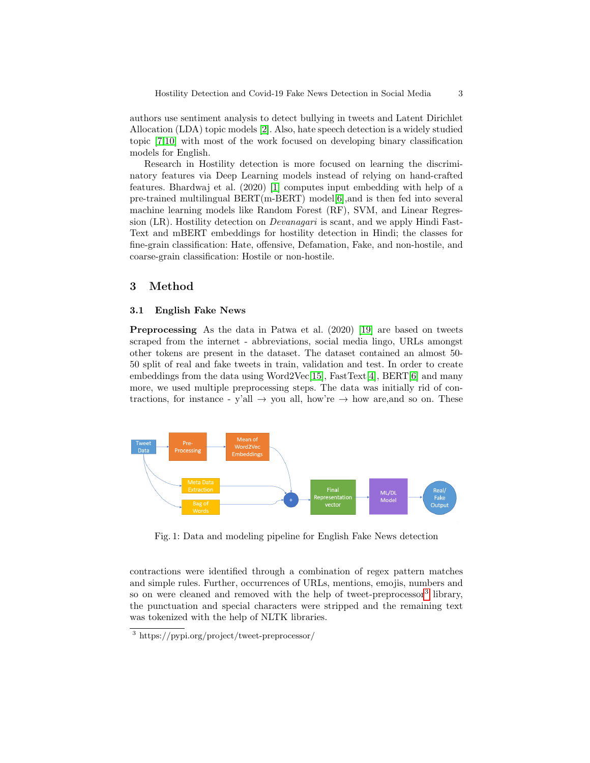authors use sentiment analysis to detect bullying in tweets and Latent Dirichlet Allocation (LDA) topic models [\[2\]](#page-10-3). Also, hate speech detection is a widely studied topic [\[7](#page-10-4)[,10\]](#page-11-8) with most of the work focused on developing binary classification models for English.

Research in Hostility detection is more focused on learning the discriminatory features via Deep Learning models instead of relying on hand-crafted features. Bhardwaj et al. (2020) [\[1\]](#page-10-0) computes input embedding with help of a pre-trained multilingual  $BERT(m-BERT) \text{ model}[6]$  $BERT(m-BERT) \text{ model}[6]$ , and is then fed into several machine learning models like Random Forest (RF), SVM, and Linear Regression (LR). Hostility detection on Devanagari is scant, and we apply Hindi Fast-Text and mBERT embeddings for hostility detection in Hindi; the classes for fine-grain classification: Hate, offensive, Defamation, Fake, and non-hostile, and coarse-grain classification: Hostile or non-hostile.

## 3 Method

#### 3.1 English Fake News

Preprocessing As the data in Patwa et al. (2020) [\[19\]](#page-11-1) are based on tweets scraped from the internet - abbreviations, social media lingo, URLs amongst other tokens are present in the dataset. The dataset contained an almost 50- 50 split of real and fake tweets in train, validation and test. In order to create embeddings from the data using Word2Vec[\[15\]](#page-11-2), FastText[\[4\]](#page-10-5), BERT[\[6\]](#page-10-1) and many more, we used multiple preprocessing steps. The data was initially rid of contractions, for instance - y'all  $\rightarrow$  you all, how're  $\rightarrow$  how are, and so on. These

<span id="page-2-1"></span>

Fig. 1: Data and modeling pipeline for English Fake News detection

contractions were identified through a combination of regex pattern matches and simple rules. Further, occurrences of URLs, mentions, emojis, numbers and so on were cleaned and removed with the help of tweet-preprocessor<sup>[3](#page-2-0)</sup> library, the punctuation and special characters were stripped and the remaining text was tokenized with the help of NLTK libraries.

<span id="page-2-0"></span><sup>3</sup> https://pypi.org/project/tweet-preprocessor/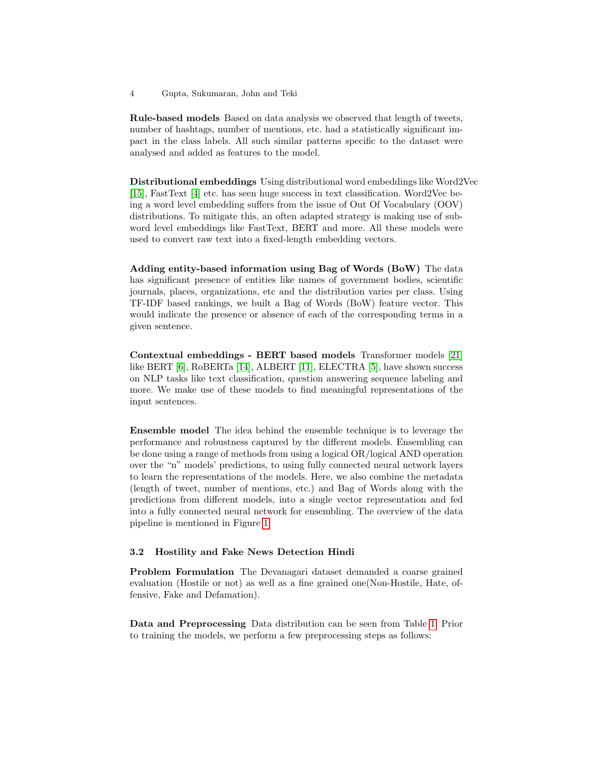Rule-based models Based on data analysis we observed that length of tweets, number of hashtags, number of mentions, etc. had a statistically significant impact in the class labels. All such similar patterns specific to the dataset were analysed and added as features to the model.

Distributional embeddings Using distributional word embeddings like Word2Vec [\[15\]](#page-11-2), FastText [\[4\]](#page-10-5) etc. has seen huge success in text classification. Word2Vec being a word level embedding suffers from the issue of Out Of Vocabulary (OOV) distributions. To mitigate this, an often adapted strategy is making use of subword level embeddings like FastText, BERT and more. All these models were used to convert raw text into a fixed-length embedding vectors.

Adding entity-based information using Bag of Words (BoW) The data has significant presence of entities like names of government bodies, scientific journals, places, organizations, etc and the distribution varies per class. Using TF-IDF based rankings, we built a Bag of Words (BoW) feature vector. This would indicate the presence or absence of each of the corresponding terms in a given sentence.

Contextual embeddings - BERT based models Transformer models [\[21\]](#page-11-9) like BERT [\[6\]](#page-10-1), RoBERTa [\[14\]](#page-11-10), ALBERT [\[11\]](#page-11-7), ELECTRA [\[5\]](#page-10-6), have shown success on NLP tasks like text classification, question answering sequence labeling and more. We make use of these models to find meaningful representations of the input sentences.

Ensemble model The idea behind the ensemble technique is to leverage the performance and robustness captured by the different models. Ensembling can be done using a range of methods from using a logical OR/logical AND operation over the "n" models' predictions, to using fully connected neural network layers to learn the representations of the models. Here, we also combine the metadata (length of tweet, number of mentions, etc.) and Bag of Words along with the predictions from different models, into a single vector representation and fed into a fully connected neural network for ensembling. The overview of the data pipeline is mentioned in Figure [1.](#page-2-1)

### 3.2 Hostility and Fake News Detection Hindi

Problem Formulation The Devanagari dataset demanded a coarse grained evaluation (Hostile or not) as well as a fine grained one(Non-Hostile, Hate, offensive, Fake and Defamation).

Data and Preprocessing Data distribution can be seen from Table [1.](#page-4-0) Prior to training the models, we perform a few preprocessing steps as follows: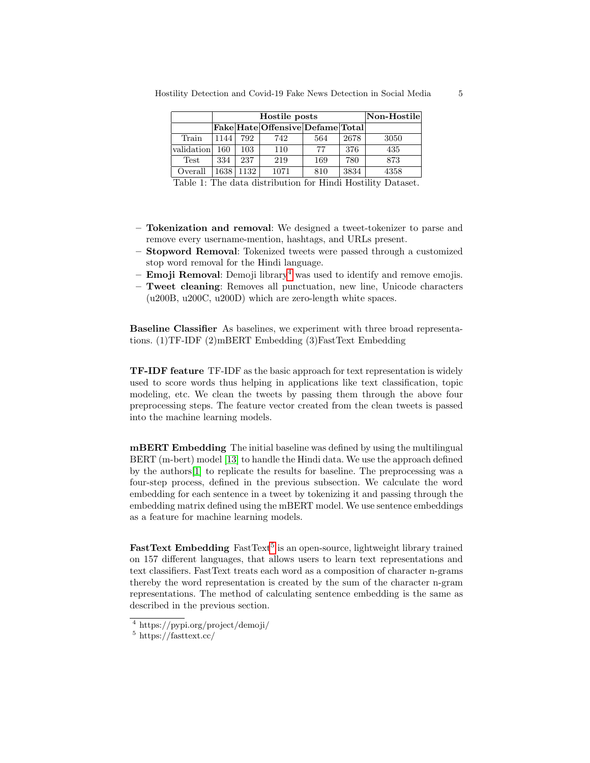|            | Hostile posts |      |                                  |     | Non-Hostile |      |
|------------|---------------|------|----------------------------------|-----|-------------|------|
|            |               |      | Fake Hate Offensive Defame Total |     |             |      |
| Train      | 1144          | 792  | 742                              | 564 | 2678        | 3050 |
| validation | 160           | 103  | 110                              | 77  | 376         | 435  |
| Test       | 334           | 237  | 219                              | 169 | 780         | 873  |
| Overall    | 1638          | 1132 | 1071                             | 810 | 3834        | 4358 |

<span id="page-4-0"></span>Hostility Detection and Covid-19 Fake News Detection in Social Media 5

Table 1: The data distribution for Hindi Hostility Dataset.

- Tokenization and removal: We designed a tweet-tokenizer to parse and remove every username-mention, hashtags, and URLs present.
- Stopword Removal: Tokenized tweets were passed through a customized stop word removal for the Hindi language.
- **Emoji Removal**: Demoji library<sup>[4](#page-4-1)</sup> was used to identify and remove emojis.
- Tweet cleaning: Removes all punctuation, new line, Unicode characters (u200B, u200C, u200D) which are zero-length white spaces.

Baseline Classifier As baselines, we experiment with three broad representations. (1)TF-IDF (2)mBERT Embedding (3)FastText Embedding

TF-IDF feature TF-IDF as the basic approach for text representation is widely used to score words thus helping in applications like text classification, topic modeling, etc. We clean the tweets by passing them through the above four preprocessing steps. The feature vector created from the clean tweets is passed into the machine learning models.

mBERT Embedding The initial baseline was defined by using the multilingual BERT (m-bert) model [\[13\]](#page-11-11) to handle the Hindi data. We use the approach defined by the authors[\[1\]](#page-10-0) to replicate the results for baseline. The preprocessing was a four-step process, defined in the previous subsection. We calculate the word embedding for each sentence in a tweet by tokenizing it and passing through the embedding matrix defined using the mBERT model. We use sentence embeddings as a feature for machine learning models.

FastText Embedding FastText<sup>[5](#page-4-2)</sup> is an open-source, lightweight library trained on 157 different languages, that allows users to learn text representations and text classifiers. FastText treats each word as a composition of character n-grams thereby the word representation is created by the sum of the character n-gram representations. The method of calculating sentence embedding is the same as described in the previous section.

<span id="page-4-1"></span><sup>4</sup> https://pypi.org/project/demoji/

<span id="page-4-2"></span> $5 \text{ https://fasttext.cc/}$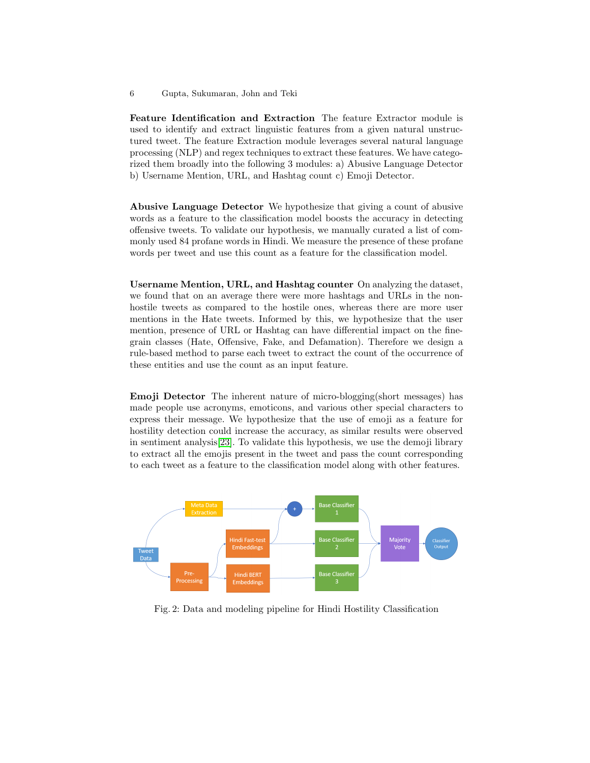Feature Identification and Extraction The feature Extractor module is used to identify and extract linguistic features from a given natural unstructured tweet. The feature Extraction module leverages several natural language processing (NLP) and regex techniques to extract these features. We have categorized them broadly into the following 3 modules: a) Abusive Language Detector b) Username Mention, URL, and Hashtag count c) Emoji Detector.

Abusive Language Detector We hypothesize that giving a count of abusive words as a feature to the classification model boosts the accuracy in detecting offensive tweets. To validate our hypothesis, we manually curated a list of commonly used 84 profane words in Hindi. We measure the presence of these profane words per tweet and use this count as a feature for the classification model.

Username Mention, URL, and Hashtag counter On analyzing the dataset, we found that on an average there were more hashtags and URLs in the nonhostile tweets as compared to the hostile ones, whereas there are more user mentions in the Hate tweets. Informed by this, we hypothesize that the user mention, presence of URL or Hashtag can have differential impact on the finegrain classes (Hate, Offensive, Fake, and Defamation). Therefore we design a rule-based method to parse each tweet to extract the count of the occurrence of these entities and use the count as an input feature.

Emoji Detector The inherent nature of micro-blogging(short messages) has made people use acronyms, emoticons, and various other special characters to express their message. We hypothesize that the use of emoji as a feature for hostility detection could increase the accuracy, as similar results were observed in sentiment analysis[\[23\]](#page-11-12). To validate this hypothesis, we use the demoji library to extract all the emojis present in the tweet and pass the count corresponding to each tweet as a feature to the classification model along with other features.



Fig. 2: Data and modeling pipeline for Hindi Hostility Classification

<sup>6</sup> Gupta, Sukumaran, John and Teki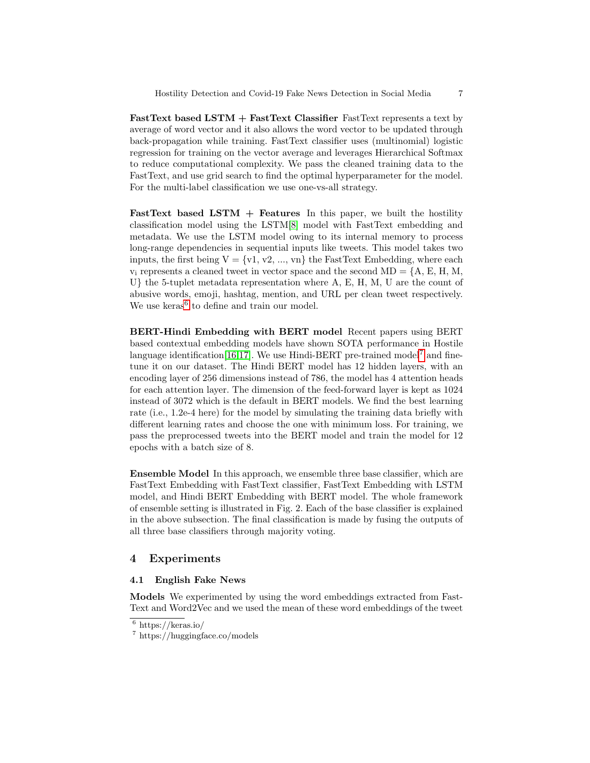FastText based LSTM + FastText Classifier FastText represents a text by average of word vector and it also allows the word vector to be updated through back-propagation while training. FastText classifier uses (multinomial) logistic regression for training on the vector average and leverages Hierarchical Softmax to reduce computational complexity. We pass the cleaned training data to the FastText, and use grid search to find the optimal hyperparameter for the model. For the multi-label classification we use one-vs-all strategy.

FastText based LSTM  $+$  Features In this paper, we built the hostility classification model using the LSTM[\[8\]](#page-11-13) model with FastText embedding and metadata. We use the LSTM model owing to its internal memory to process long-range dependencies in sequential inputs like tweets. This model takes two inputs, the first being  $V = \{v1, v2, ..., vn\}$  the FastText Embedding, where each  $v_i$  represents a cleaned tweet in vector space and the second MD = {A, E, H, M, U} the 5-tuplet metadata representation where A, E, H, M, U are the count of abusive words, emoji, hashtag, mention, and URL per clean tweet respectively. We use  $keras<sup>6</sup>$  $keras<sup>6</sup>$  $keras<sup>6</sup>$  to define and train our model.

BERT-Hindi Embedding with BERT model Recent papers using BERT based contextual embedding models have shown SOTA performance in Hostile language identification [\[16](#page-11-14)[,17\]](#page-11-15). We use Hindi-BERT pre-trained model<sup>[7](#page-6-1)</sup> and finetune it on our dataset. The Hindi BERT model has 12 hidden layers, with an encoding layer of 256 dimensions instead of 786, the model has 4 attention heads for each attention layer. The dimension of the feed-forward layer is kept as 1024 instead of 3072 which is the default in BERT models. We find the best learning rate (i.e., 1.2e-4 here) for the model by simulating the training data briefly with different learning rates and choose the one with minimum loss. For training, we pass the preprocessed tweets into the BERT model and train the model for 12 epochs with a batch size of 8.

Ensemble Model In this approach, we ensemble three base classifier, which are FastText Embedding with FastText classifier, FastText Embedding with LSTM model, and Hindi BERT Embedding with BERT model. The whole framework of ensemble setting is illustrated in Fig. 2. Each of the base classifier is explained in the above subsection. The final classification is made by fusing the outputs of all three base classifiers through majority voting.

## 4 Experiments

### 4.1 English Fake News

Models We experimented by using the word embeddings extracted from Fast-Text and Word2Vec and we used the mean of these word embeddings of the tweet

<span id="page-6-0"></span> $6$  https://keras.io/

<span id="page-6-1"></span><sup>7</sup> https://huggingface.co/models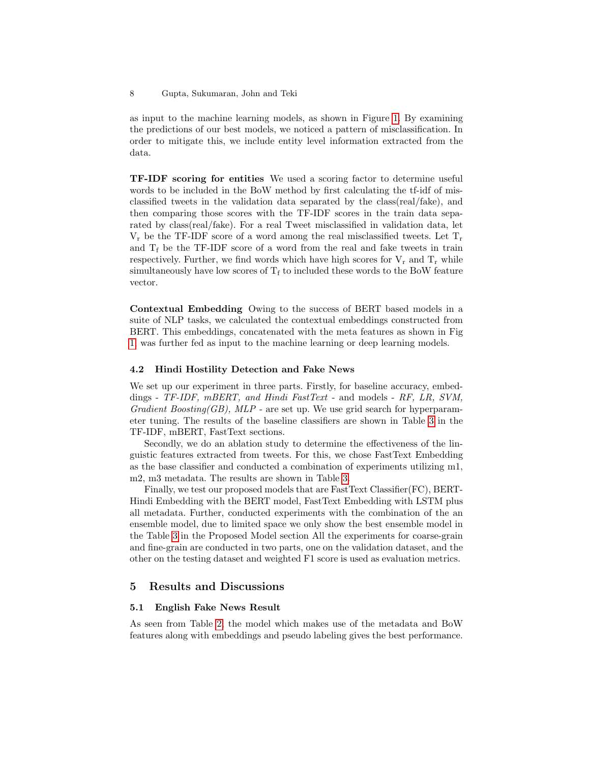as input to the machine learning models, as shown in Figure [1.](#page-2-1) By examining the predictions of our best models, we noticed a pattern of misclassification. In order to mitigate this, we include entity level information extracted from the data.

TF-IDF scoring for entities We used a scoring factor to determine useful words to be included in the BoW method by first calculating the tf-idf of misclassified tweets in the validation data separated by the class(real/fake), and then comparing those scores with the TF-IDF scores in the train data separated by class(real/fake). For a real Tweet misclassified in validation data, let  $V_r$  be the TF-IDF score of a word among the real misclassified tweets. Let  $T_r$ and  $T_f$  be the TF-IDF score of a word from the real and fake tweets in train respectively. Further, we find words which have high scores for  $V_r$  and  $T_r$  while simultaneously have low scores of  $T_f$  to included these words to the BoW feature vector.

Contextual Embedding Owing to the success of BERT based models in a suite of NLP tasks, we calculated the contextual embeddings constructed from BERT. This embeddings, concatenated with the meta features as shown in Fig [1,](#page-2-1) was further fed as input to the machine learning or deep learning models.

## 4.2 Hindi Hostility Detection and Fake News

We set up our experiment in three parts. Firstly, for baseline accuracy, embeddings - TF-IDF, mBERT, and Hindi FastText - and models - RF, LR, SVM, Gradient Boosting(GB), MLP - are set up. We use grid search for hyperparameter tuning. The results of the baseline classifiers are shown in Table [3](#page-9-0) in the TF-IDF, mBERT, FastText sections.

Secondly, we do an ablation study to determine the effectiveness of the linguistic features extracted from tweets. For this, we chose FastText Embedding as the base classifier and conducted a combination of experiments utilizing m1, m2, m3 metadata. The results are shown in Table [3.](#page-9-0)

Finally, we test our proposed models that are FastText Classifier(FC), BERT-Hindi Embedding with the BERT model, FastText Embedding with LSTM plus all metadata. Further, conducted experiments with the combination of the an ensemble model, due to limited space we only show the best ensemble model in the Table [3](#page-9-0) in the Proposed Model section All the experiments for coarse-grain and fine-grain are conducted in two parts, one on the validation dataset, and the other on the testing dataset and weighted F1 score is used as evaluation metrics.

## 5 Results and Discussions

### 5.1 English Fake News Result

As seen from Table [2,](#page-8-0) the model which makes use of the metadata and BoW features along with embeddings and pseudo labeling gives the best performance.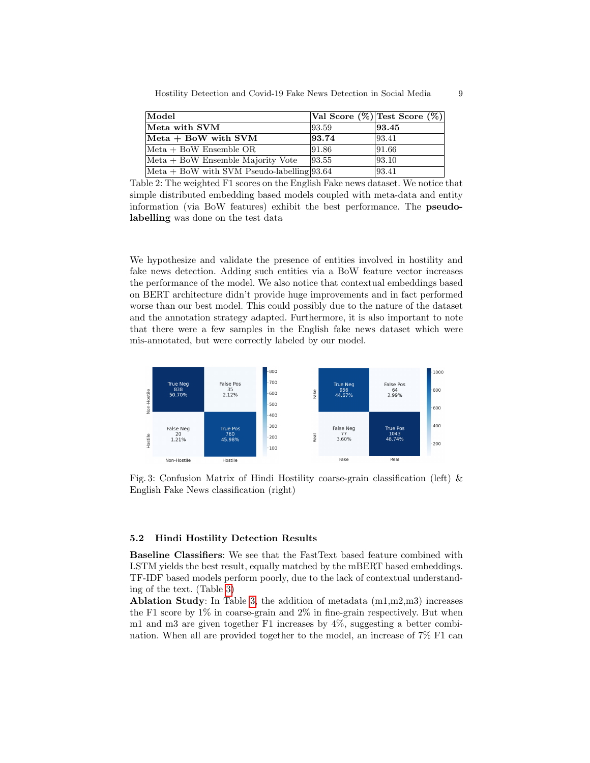| Hostility Detection and Covid-19 Fake News Detection in Social Media |  |  |  |  |
|----------------------------------------------------------------------|--|--|--|--|
|----------------------------------------------------------------------|--|--|--|--|

<span id="page-8-0"></span>

| Model                                                       |       | Val Score $(\%)$  Test Score $(\%)$ |
|-------------------------------------------------------------|-------|-------------------------------------|
| Meta with SVM                                               | 93.59 | 93.45                               |
| $Meta + BoW$ with SVM                                       | 93.74 | 93.41                               |
| $Meta + BoW$ Ensemble OR                                    | 91.86 | 91.66                               |
| $Meta + BoW$ Ensemble Majority Vote                         | 93.55 | 93.10                               |
| $ \text{Meta} + \text{BoW}$ with SVM Pseudo-labelling 93.64 |       | 93.41                               |

Table 2: The weighted F1 scores on the English Fake news dataset. We notice that simple distributed embedding based models coupled with meta-data and entity information (via BoW features) exhibit the best performance. The pseudolabelling was done on the test data

We hypothesize and validate the presence of entities involved in hostility and fake news detection. Adding such entities via a BoW feature vector increases the performance of the model. We also notice that contextual embeddings based on BERT architecture didn't provide huge improvements and in fact performed worse than our best model. This could possibly due to the nature of the dataset and the annotation strategy adapted. Furthermore, it is also important to note that there were a few samples in the English fake news dataset which were mis-annotated, but were correctly labeled by our model.

<span id="page-8-1"></span>

Fig. 3: Confusion Matrix of Hindi Hostility coarse-grain classification (left) & English Fake News classification (right)

## 5.2 Hindi Hostility Detection Results

Baseline Classifiers: We see that the FastText based feature combined with LSTM yields the best result, equally matched by the mBERT based embeddings. TF-IDF based models perform poorly, due to the lack of contextual understanding of the text. (Table [3\)](#page-9-0)

Ablation Study: In Table [3,](#page-9-0) the addition of metadata  $(m1,m2,m3)$  increases the F1 score by  $1\%$  in coarse-grain and  $2\%$  in fine-grain respectively. But when m1 and m3 are given together F1 increases by 4%, suggesting a better combination. When all are provided together to the model, an increase of 7% F1 can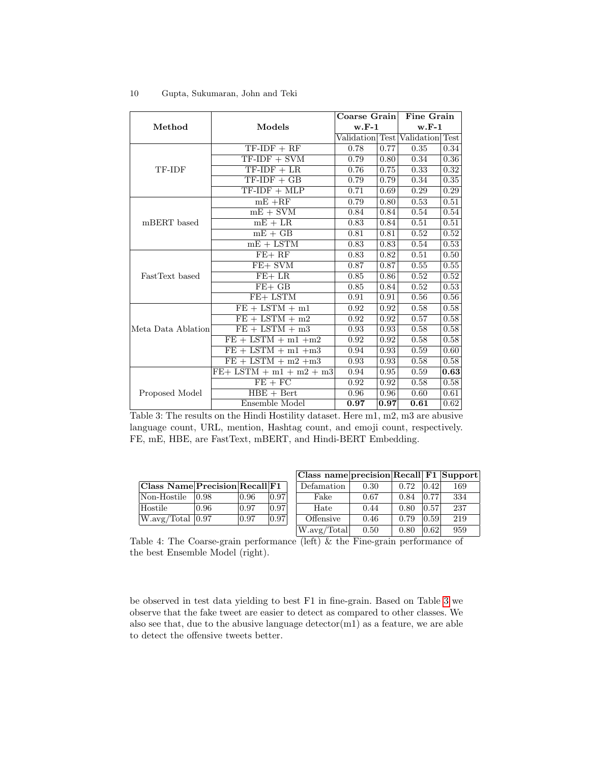<span id="page-9-0"></span>

|                    |                                      | Coarse Grain    |      | Fine Grain      |      |
|--------------------|--------------------------------------|-----------------|------|-----------------|------|
| Method             | Models                               | $w.F-1$         |      | $w.F-1$         |      |
|                    |                                      | Validation Test |      | Validation Test |      |
|                    | $TF-IDF + RF$                        | 0.78            | 0.77 | 0.35            | 0.34 |
|                    | $TF-IDF + SVM$                       | 0.79            | 0.80 | 0.34            | 0.36 |
| TF-IDF             | $TF-IDF + LR$                        | 0.76            | 0.75 | 0.33            | 0.32 |
|                    | $TF-IDF + GB$                        | 0.79            | 0.79 | 0.34            | 0.35 |
|                    | $TF-IDF + MLP$                       | 0.71            | 0.69 | 0.29            | 0.29 |
|                    | $mE + RF$                            | 0.79            | 0.80 | 0.53            | 0.51 |
|                    | $mE + SVM$                           | 0.84            | 0.84 | 0.54            | 0.54 |
| mBERT based        | $mE + LR$                            | 0.83            | 0.84 | 0.51            | 0.51 |
|                    | $mE + GB$                            | 0.81            | 0.81 | 0.52            | 0.52 |
|                    | $mE + LSTM$                          | 0.83            | 0.83 | 0.54            | 0.53 |
|                    | $FE+RF$                              | 0.83            | 0.82 | 0.51            | 0.50 |
|                    | FE+ SVM                              | 0.87            | 0.87 | 0.55            | 0.55 |
| FastText based     | $\overline{FE}$ + LR                 | 0.85            | 0.86 | 0.52            | 0.52 |
|                    | $FE+ GB$                             | 0.85            | 0.84 | 0.52            | 0.53 |
|                    | FE+ LSTM                             | 0.91            | 0.91 | 0.56            | 0.56 |
|                    | $FE + LSTM + m1$                     | 0.92            | 0.92 | 0.58            | 0.58 |
|                    | $FE + LSTM + m2$                     | 0.92            | 0.92 | 0.57            | 0.58 |
| Meta Data Ablation | $FE + LSTM + m3$                     | 0.93            | 0.93 | 0.58            | 0.58 |
|                    | $FE + LSTM + m1 + m2$                | 0.92            | 0.92 | 0.58            | 0.58 |
|                    | $FE + LSTM + m1 + m3$                | 0.94            | 0.93 | 0.59            | 0.60 |
|                    | $\overline{FE + LSTM + m2 + m3}$     | 0.93            | 0.93 | 0.58            | 0.58 |
|                    | $\overline{FE+}$ LSTM + m1 + m2 + m3 | 0.94            | 0.95 | 0.59            | 0.63 |
|                    | $FE + FC$                            | 0.92            | 0.92 | 0.58            | 0.58 |
| Proposed Model     | $HBE + Bert$                         | 0.96            | 0.96 | 0.60            | 0.61 |
|                    | Ensemble Model                       | 0.97            | 0.97 | 0.61            | 0.62 |

Table 3: The results on the Hindi Hostility dataset. Here m1, m2, m3 are abusive language count, URL, mention, Hashtag count, and emoji count, respectively. FE, mE, HBE, are FastText, mBERT, and Hindi-BERT Embedding.

| Class Name Precision Recall F1 |       |       |       | Defa |
|--------------------------------|-------|-------|-------|------|
| Non-Hostile                    | 10.98 | 10.96 | 0.97  |      |
| Hostile                        | 0.96  | 0.97  | 10.97 |      |
| $W.\text{avg/Total }  0.97$    |       | 0.97  | 0.97  | Off  |
|                                |       |       |       |      |

| Class name precision Recall F1 Support |      |      |          |     |
|----------------------------------------|------|------|----------|-----|
| Defamation                             | 0.30 | 0.72 | 0.42     | 169 |
| Fake                                   | 0.67 | 0.84 | 0.77     | 334 |
| Hate                                   | 0.44 | 0.80 | 0.57     | 237 |
| Offensive                              | 0.46 | 0.79 | 0.59     | 219 |
| W.avg/Total                            | 0.50 | 0.80 | $0.62\,$ | 959 |

Table 4: The Coarse-grain performance  $(\overline{\text{left}}) \& \text{the } \overline{\text{Fine}-\text{grain } \text{performance } \text{of}}$ the best Ensemble Model (right).

be observed in test data yielding to best F1 in fine-grain. Based on Table [3](#page-9-0) we observe that the fake tweet are easier to detect as compared to other classes. We also see that, due to the abusive language detector(m1) as a feature, we are able to detect the offensive tweets better.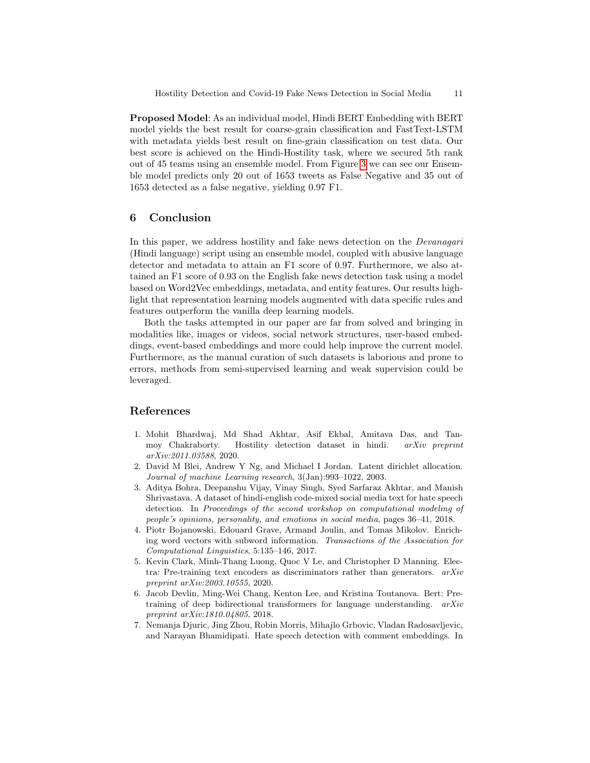Proposed Model: As an individual model, Hindi BERT Embedding with BERT model yields the best result for coarse-grain classification and FastText-LSTM with metadata yields best result on fine-grain classification on test data. Our best score is achieved on the Hindi-Hostility task, where we secured 5th rank out of 45 teams using an ensemble model. From Figure [3](#page-8-1) we can see our Ensemble model predicts only 20 out of 1653 tweets as False Negative and 35 out of 1653 detected as a false negative, yielding 0.97 F1.

## 6 Conclusion

In this paper, we address hostility and fake news detection on the Devanagari (Hindi language) script using an ensemble model, coupled with abusive language detector and metadata to attain an F1 score of 0.97. Furthermore, we also attained an F1 score of 0.93 on the English fake news detection task using a model based on Word2Vec embeddings, metadata, and entity features. Our results highlight that representation learning models augmented with data specific rules and features outperform the vanilla deep learning models.

Both the tasks attempted in our paper are far from solved and bringing in modalities like, images or videos, social network structures, user-based embeddings, event-based embeddings and more could help improve the current model. Furthermore, as the manual curation of such datasets is laborious and prone to errors, methods from semi-supervised learning and weak supervision could be leveraged.

## References

- <span id="page-10-0"></span>1. Mohit Bhardwaj, Md Shad Akhtar, Asif Ekbal, Amitava Das, and Tanmoy Chakraborty. Hostility detection dataset in hindi. arXiv preprint arXiv:2011.03588, 2020.
- <span id="page-10-3"></span>2. David M Blei, Andrew Y Ng, and Michael I Jordan. Latent dirichlet allocation. Journal of machine Learning research, 3(Jan):993–1022, 2003.
- <span id="page-10-2"></span>3. Aditya Bohra, Deepanshu Vijay, Vinay Singh, Syed Sarfaraz Akhtar, and Manish Shrivastava. A dataset of hindi-english code-mixed social media text for hate speech detection. In Proceedings of the second workshop on computational modeling of people's opinions, personality, and emotions in social media, pages 36–41, 2018.
- <span id="page-10-5"></span>4. Piotr Bojanowski, Edouard Grave, Armand Joulin, and Tomas Mikolov. Enriching word vectors with subword information. Transactions of the Association for Computational Linguistics, 5:135–146, 2017.
- <span id="page-10-6"></span>5. Kevin Clark, Minh-Thang Luong, Quoc V Le, and Christopher D Manning. Electra: Pre-training text encoders as discriminators rather than generators.  $arXiv$ preprint arXiv:2003.10555, 2020.
- <span id="page-10-1"></span>6. Jacob Devlin, Ming-Wei Chang, Kenton Lee, and Kristina Toutanova. Bert: Pretraining of deep bidirectional transformers for language understanding. arXiv preprint arXiv:1810.04805, 2018.
- <span id="page-10-4"></span>7. Nemanja Djuric, Jing Zhou, Robin Morris, Mihajlo Grbovic, Vladan Radosavljevic, and Narayan Bhamidipati. Hate speech detection with comment embeddings. In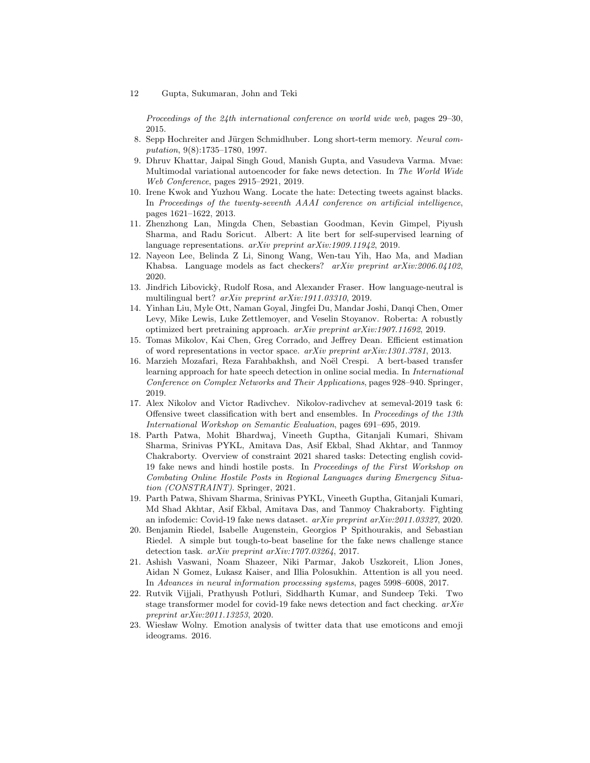Proceedings of the 24th international conference on world wide web, pages 29–30, 2015.

- <span id="page-11-13"></span>8. Sepp Hochreiter and Jürgen Schmidhuber. Long short-term memory. Neural computation, 9(8):1735–1780, 1997.
- <span id="page-11-4"></span>9. Dhruv Khattar, Jaipal Singh Goud, Manish Gupta, and Vasudeva Varma. Mvae: Multimodal variational autoencoder for fake news detection. In The World Wide Web Conference, pages 2915–2921, 2019.
- <span id="page-11-8"></span>10. Irene Kwok and Yuzhou Wang. Locate the hate: Detecting tweets against blacks. In Proceedings of the twenty-seventh AAAI conference on artificial intelligence, pages 1621–1622, 2013.
- <span id="page-11-7"></span>11. Zhenzhong Lan, Mingda Chen, Sebastian Goodman, Kevin Gimpel, Piyush Sharma, and Radu Soricut. Albert: A lite bert for self-supervised learning of language representations. arXiv preprint arXiv:1909.11942, 2019.
- <span id="page-11-5"></span>12. Nayeon Lee, Belinda Z Li, Sinong Wang, Wen-tau Yih, Hao Ma, and Madian Khabsa. Language models as fact checkers? arXiv preprint arXiv:2006.04102, 2020.
- <span id="page-11-11"></span>13. Jindřich Libovický, Rudolf Rosa, and Alexander Fraser. How language-neutral is multilingual bert? arXiv preprint arXiv:1911.03310, 2019.
- <span id="page-11-10"></span>14. Yinhan Liu, Myle Ott, Naman Goyal, Jingfei Du, Mandar Joshi, Danqi Chen, Omer Levy, Mike Lewis, Luke Zettlemoyer, and Veselin Stoyanov. Roberta: A robustly optimized bert pretraining approach. arXiv preprint arXiv:1907.11692, 2019.
- <span id="page-11-2"></span>15. Tomas Mikolov, Kai Chen, Greg Corrado, and Jeffrey Dean. Efficient estimation of word representations in vector space. arXiv preprint arXiv:1301.3781, 2013.
- <span id="page-11-14"></span>16. Marzieh Mozafari, Reza Farahbakhsh, and Noël Crespi. A bert-based transfer learning approach for hate speech detection in online social media. In International Conference on Complex Networks and Their Applications, pages 928–940. Springer, 2019.
- <span id="page-11-15"></span>17. Alex Nikolov and Victor Radivchev. Nikolov-radivchev at semeval-2019 task 6: Offensive tweet classification with bert and ensembles. In Proceedings of the 13th International Workshop on Semantic Evaluation, pages 691–695, 2019.
- <span id="page-11-0"></span>18. Parth Patwa, Mohit Bhardwaj, Vineeth Guptha, Gitanjali Kumari, Shivam Sharma, Srinivas PYKL, Amitava Das, Asif Ekbal, Shad Akhtar, and Tanmoy Chakraborty. Overview of constraint 2021 shared tasks: Detecting english covid-19 fake news and hindi hostile posts. In Proceedings of the First Workshop on Combating Online Hostile Posts in Regional Languages during Emergency Situation (CONSTRAINT). Springer, 2021.
- <span id="page-11-1"></span>19. Parth Patwa, Shivam Sharma, Srinivas PYKL, Vineeth Guptha, Gitanjali Kumari, Md Shad Akhtar, Asif Ekbal, Amitava Das, and Tanmoy Chakraborty. Fighting an infodemic: Covid-19 fake news dataset. arXiv preprint arXiv:2011.03327, 2020.
- <span id="page-11-3"></span>20. Benjamin Riedel, Isabelle Augenstein, Georgios P Spithourakis, and Sebastian Riedel. A simple but tough-to-beat baseline for the fake news challenge stance detection task. arXiv preprint arXiv:1707.03264, 2017.
- <span id="page-11-9"></span>21. Ashish Vaswani, Noam Shazeer, Niki Parmar, Jakob Uszkoreit, Llion Jones, Aidan N Gomez, Lukasz Kaiser, and Illia Polosukhin. Attention is all you need. In Advances in neural information processing systems, pages 5998–6008, 2017.
- <span id="page-11-6"></span>22. Rutvik Vijjali, Prathyush Potluri, Siddharth Kumar, and Sundeep Teki. Two stage transformer model for covid-19 fake news detection and fact checking.  $arXiv$ preprint arXiv:2011.13253, 2020.
- <span id="page-11-12"></span>23. Wiesław Wolny. Emotion analysis of twitter data that use emoticons and emoji ideograms. 2016.